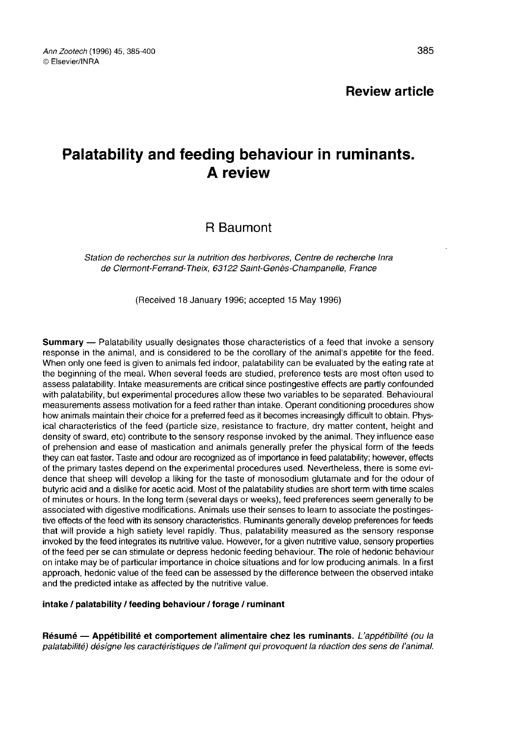# Palatability and feeding behaviour in ruminants. A review

## R Baumont

Station de recherches sur la nutrition des herbivores, Centre de recherche Inra de Clermont-Ferrand-Theix, 63122 Saint-Genès-Champanelle, France

(Received 18 January 1996; accepted 15 May 1996)

Summary — Palatability usually designates those characteristics of a feed that invoke a sensory response in the animal, and is considered to be the corollary of the animal's appetite for the feed. When only one feed is given to animals fed indoor, palatability can be evaluated by the eating rate at the beginning of the meal. When several feeds are studied, preference tests are most often used to assess palatability. Intake measurements are critical since postingestive effects are partly confounded with palatability, but experimental procedures allow these two variables to be separated. Behavioural measurements assess motivation for a feed rather than intake. Operant conditioning procedures show how animals maintain their choice for a preferred feed as it becomes increasingly difficult to obtain. Physical characteristics of the feed (particle size, resistance to fracture, dry matter content, height and density of sward, etc) contribute to the sensory response invoked by the animal. They influence ease of prehension and ease of mastication and animals generally prefer the physical form of the feeds they can eat faster. Taste and odour are recognized as of importance in feed palatability; however, effects of the primary tastes depend on the experimental procedures used. Nevertheless, there is some evidence that sheep will develop a liking for the taste of monosodium glutamate and for the odour of butyric acid and a dislike for acetic acid. Most of the palatability studies are short term with time scales of minutes or hours. In the long term (several days or weeks), feed preferences seem generally to be associated with digestive modifications. Animals use their senses to learn to associate the postingestive effects of the feed with its sensory characteristics. Ruminants generally develop preferences for feeds that will provide a high satiety level rapidly. Thus, palatability measured as the sensory response invoked by the feed integrates its nutritive value. However, for a given nutritive value, sensory properties of the feed per se can stimulate or depress hedonic feeding behaviour. The role of hedonic behaviour on intake may be of particular importance in choice situations and for low producing animals. In a first approach, hedonic value of the feed can be assessed by the difference between the observed intake and the predicted intake as affected by the nutritive value.

#### intake / palatability / feeding behaviour / forage / ruminant

Résumé — Appétibilité et comportement alimentaire chez les ruminants. L'appétibilité (ou la palatabilité) désigne les caractéristiques de l'aliment qui provoquent la réaction des sens de l'animal.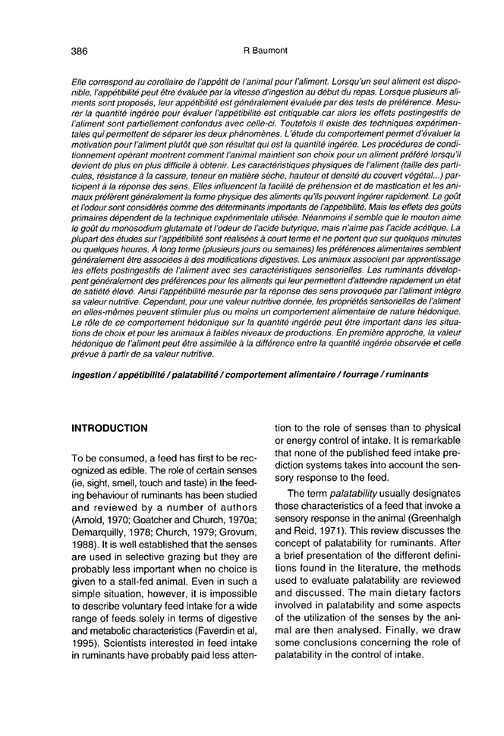#### R Baumont

Elle correspond au corollaire de l'appétit de l'animal pour l'aliment. Lorsqu'un seul aliment est disponible, l'appétibilité peut être évaluée par la vitesse d'ingestion au début du repas. Lorsque plusieurs aliments sont proposés, leur appétibilité est généralement évaluée par des tests de préférence. Mesurer la quantité ingérée pour évaluer l'appétibilité est critiquable car alors les effets postingestifs de l'aliment sont partiellement confondus avec celle-ci. Toutefois il existe des techniques expérimentales qui permettent de séparer les deux phénomènes. L'étude du comportement permet d'évaluer la motivation pour l'aliment plutôt que son résultat qui est la quantité ingérée. Les procédures de conditionnement opérant montrent comment l'animal maintient son choix pour un aliment préféré lorsqu'il devient de plus en plus difficile à obtenir. Les caractéristiques physiques de l'aliment (taille des particules, résistance à la cassure, teneur en matière sèche, hauteur et densité du couvert végétal...) participent à la réponse des sens. Elles influencent la facilité de préhension et de mastication et les ani-<br>maux préfèrent généralement la forme physique des aliments qu'ils peuvent ingérer rapidement. Le goût et l'odeur sont considérés comme des déterminants importants de l'appétibilité. Mais les effets des goûts primaires dépendent de la technique expérimentale utilisée. Néanmoins il semble que le mouton aime le goût du monosodium glutamate et l'odeur de l'acide butyrique, mais n'aime pas l'acide acétique. La plupart des études sur l'appétibilité sont réalisées à court terme et ne portent que sur quelques minutes ou quelques heures. À long terme (plusieurs jours ou semaines) les préférences alimentaires semblent généralement être associées à des modifications digestives. Les animaux associent par apprentissage les effets postingestifs de l'aliment avec ses caractéristiques sensorielles. Les ruminants développent généralement des préférences pour les aliments qui leur permettent d'atteindre rapidement un état de satiété élevé. Ainsi l'appétibilité mesurée par la réponse des sens provoquée par l'aliment intègre sa valeur nutritive. Cependant, pour une valeur nutritive donnée, les propriétés sensorielles de l'aliment en elles-mêmes peuvent stimuler plus ou moins un comportement alimentaire de nature hédonique. Le rôle de ce comportement hédonique sur la quantité ingérée peut être important dans les situations de choix et pour les animaux à faibles niveaux de productions. En première approche, la valeur hédonique de l'aliment peut être assimilée à la différence entre la quantité ingérée observée et celle prévue à partir de sa valeur nutritive.

ingestion / appétibilité / palatabilité / comportement alimentaire / fourrage / ruminants

## INTRODUCTION

To be consumed, a feed has first to be recognized as edible. The role of certain senses (ie, sight, smell, touch and taste) in the feeding behaviour of ruminants has been studied and reviewed by a number of authors (Arnold, 1970; Goatcher and Church, 1970a; Demarquilly, 1978; Church, 1979; Grovum, 1988). It is well established that the senses are used in selective grazing but they are probably less important when no choice is given to a stall-fed animal. Even in such a simple situation, however, it is impossible to describe voluntary feed intake for a wide range of feeds solely in terms of digestive and metabolic characteristics (Faverdin et al, 1995). Scientists interested in feed intake in ruminants have probably paid less attention to the role of senses than to physical or energy control of intake. It is remarkable that none of the published feed intake prediction systems takes into account the sensory response to the feed.

The term *palatability* usually designates those characteristics of a feed that invoke a sensory response in the animal (Greenhalgh and Reid, 1971). This review discusses the concept of palatability for ruminants. After a brief presentation of the different definitions found in the literature, the methods used to evaluate palatability are reviewed and discussed. The main dietary factors involved in palatability and some aspects of the utilization of the senses by the animal are then analysed. Finally, we draw some conclusions concerning the role of palatability in the control of intake.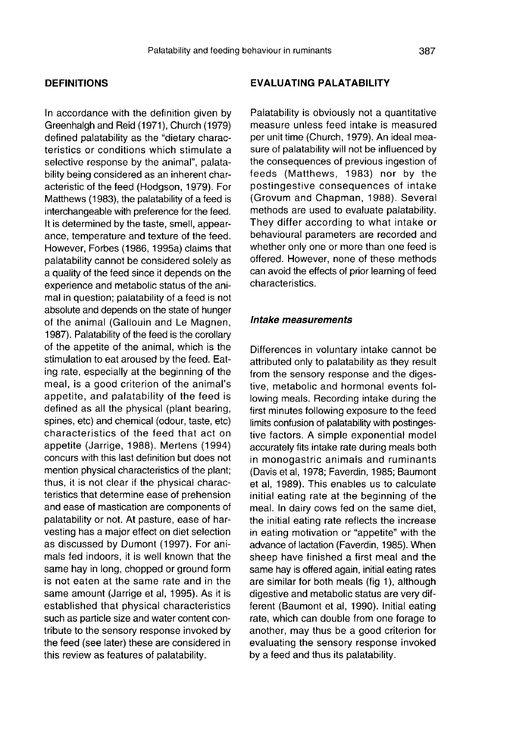## DEFINITIONS

In accordance with the definition given by Greenhalgh and Reid (1971), Church (1979) defined palatability as the "dietary characteristics or conditions which stimulate a selective response by the animal", palatability being considered as an inherent characteristic of the feed (Hodgson, 1979). For Matthews (1983), the palatability of a feed is interchangeable with preference for the feed. It is determined by the taste, smell, appearance, temperature and texture of the feed. However, Forbes (1986, 1995a) claims that palatability cannot be considered solely as a quality of the feed since it depends on the experience and metabolic status of the animal in question; palatability of a feed is not absolute and depends on the state of hunger of the animal (Gallouin and Le Magnen, 1987). Palatability of the feed is the corollary of the appetite of the animal, which is the stimulation to eat aroused by the feed. Eating rate, especially at the beginning of the meal, is a good criterion of the animal's appetite, and palatability of the feed is defined as all the physical (plant bearing, spines, etc) and chemical (odour, taste, etc) characteristics of the feed that act on appetite (Jarrige, 1988). Mertens (1994) concurs with this last definition but does not mention physical characteristics of the plant; thus, it is not clear if the physical characteristics that determine ease of prehension and ease of mastication are components of palatability or not. At pasture, ease of harvesting has a major effect on diet selection as discussed by Dumont (1997). For animals fed indoors, it is well known that the same hay in long, chopped or ground form is not eaten at the same rate and in the same amount (Jarrige et al, 1995). As it is established that physical characteristics such as particle size and water content contribute to the sensory response invoked by the feed (see later) these are considered in this review as features of palatability.

#### EVALUATING PALATABILITY

Palatability is obviously not a quantitative measure unless feed intake is measured per unit time (Church, 1979). An ideal measure of palatability will not be influenced by the consequences of previous ingestion of feeds (Matthews, 1983) nor by the postingestive consequences of intake (Grovum and Chapman, 1988). Several methods are used to evaluate palatability. They differ according to what intake or behavioural parameters are recorded and whether only one or more than one feed is offered. However, none of these methods can avoid the effects of prior learning of feed characteristics.

#### Intake measurements

Differences in voluntary intake cannot be attributed only to palatability as they result from the sensory response and the digestive, metabolic and hormonal events following meals. Recording intake during the first minutes following exposure to the feed limits confusion of palatability with postingestive factors. A simple exponential model accurately fits intake rate during meals both in monogastric animals and ruminants (Davis et al, 1978; Faverdin, 1985; Baumont et al, 1989). This enables us to calculate initial eating rate at the beginning of the meal. In dairy cows fed on the same diet, the initial eating rate reflects the increase in eating motivation or "appetite" with the advance of lactation (Faverdin, 1985). When sheep have finished a first meal and the same hay is offered again, initial eating rates are similar for both meals (fig 1), although digestive and metabolic status are very different (Baumont et al, 1990). Initial eating rate, which can double from one forage to another, may thus be a good criterion for evaluating the sensory response invoked by a feed and thus its palatability.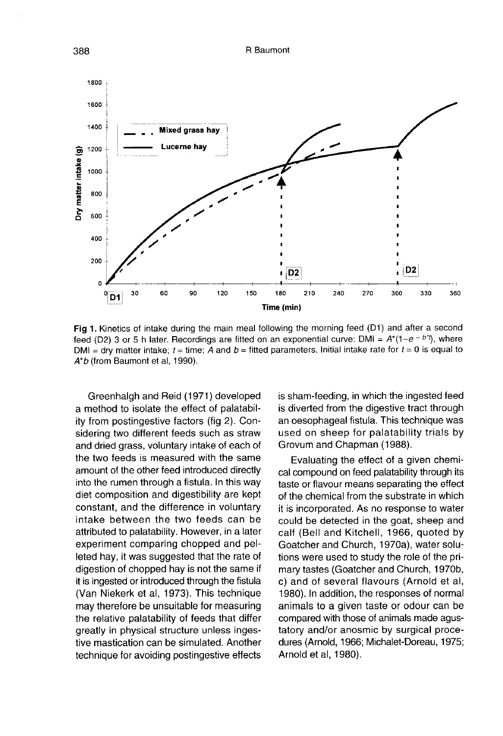

Fig 1. Kinetics of intake during the main meal following the morning feed (D1) and after a second feed (D2) 3 or 5 h later. Recordings are fitted on an exponential curve: DMI =  $A^*(1-e^{-b^*\theta})$ , where DMI = dry matter intake;  $t =$  time; A and  $b =$  fitted parameters. Initial intake rate for  $t = 0$  is equal to A\*b (from Baumont et al, 1990).

Greenhalgh and Reid (1971) developed a method to isolate the effect of palatability from postingestive factors (fig 2). Considering two different feeds such as straw and dried grass, voluntary intake of each of the two feeds is measured with the same amount of the other feed introduced directly into the rumen through a fistula. In this way diet composition and digestibility are kept constant, and the difference in voluntary intake between the two feeds can be attributed to palatability. However, in a later experiment comparing chopped and pelleted hay, it was suggested that the rate of digestion of chopped hay is not the same if it is ingested or introduced through the fistula (Van Niekerk et al, 1973). This technique may therefore be unsuitable for measuring the relative palatability of feeds that differ greatly in physical structure unless ingestive mastication can be simulated. Another technique for avoiding postingestive effects

is sham-feeding, in which the ingested feed is diverted from the digestive tract through an oesophageal fistula. This technique was used on sheep for palatability trials by Grovum and Chapman (1988).

Evaluating the effect of a given chemical compound on feed palatability through its taste or flavour means separating the effect of the chemical from the substrate in which it is incorporated. As no response to water could be detected in the goat, sheep and calf (Bell and Kitchell, 1966, quoted by Goatcher and Church, 1970a), water solutions were used to study the role of the primary tastes (Goatcher and Church, 1970b, c) and of several flavours (Arnold et al, 1980). In addition, the responses of normal animals to a given taste or odour can be compared with those of animals made agustatory and/or anosmic by surgical procedures (Arnold, 1966; Michalet-Doreau, 1975; Arnold et al, 1980).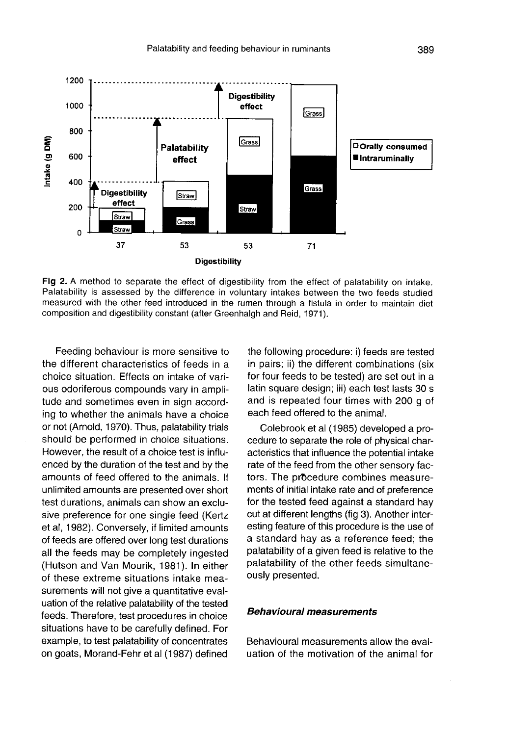

Fig 2. A method to separate the effect of digestibility from the effect of palatability on intake. Palatability is assessed by the difference in voluntary intakes between the two feeds studied measured with the other feed introduced in the rumen through a fistula in order to maintain diet composition and digestibility constant (after Greenhalgh and Reid, 1971).

Feeding behaviour is more sensitive to the different characteristics of feeds in a choice situation. Effects on intake of various odoriferous compounds vary in amplitude and sometimes even in sign according to whether the animals have a choice or not (Arnold, 1970). Thus, palatability trials should be performed in choice situations. However, the result of a choice test is influenced by the duration of the test and by the amounts of feed offered to the animals. If unlimited amounts are presented over short test durations, animals can show an exclusive preference for one single feed (Kertz et al, 1982). Conversely, if limited amounts of feeds are offered over long test durations all the feeds may be completely ingested (Hutson and Van Mourik, 1981). In either of these extreme situations intake measurements will not give a quantitative evaluation of the relative palatability of the tested feeds. Therefore, test procedures in choice situations have to be carefully defined. For example, to test palatability of concentrates on goats, Morand-Fehr et al (1987) defined

the following procedure: i) feeds are tested in pairs; ii) the different combinations (six for four feeds to be tested) are set out in a latin square design; iii) each test lasts 30 s and is repeated four times with 200 g of each feed offered to the animal.

Colebrook et al (1985) developed a procedure to separate the role of physical characteristics that influence the potential intake rate of the feed from the other sensory factors. The prbcedure combines measurements of initial intake rate and of preference for the tested feed against a standard hay cut at different lengths (fig 3). Another interesting feature of this procedure is the use of a standard hay as a reference feed; the palatability of a given feed is relative to the palatability of the other feeds simultaneously presented.

#### Behavioural measurements

Behavioural measurements allow the evaluation of the motivation of the animal for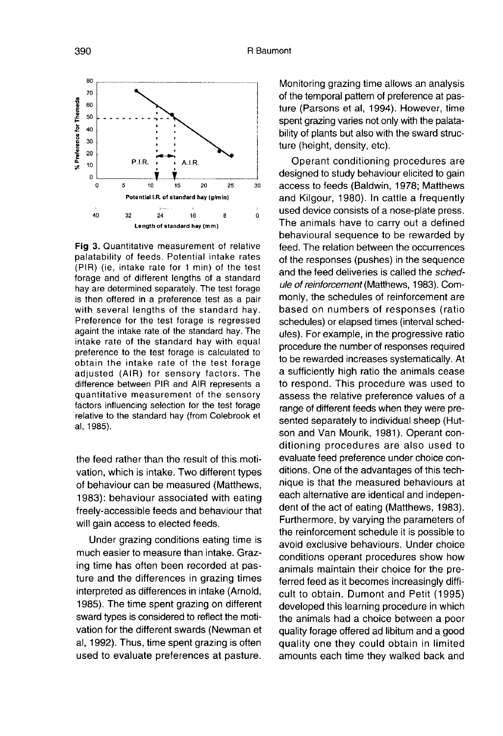

Fig 3. Quantitative measurement of relative palatability of feeds. Potential intake rates (PIR) (ie, intake rate for 1 min) of the test forage and of different lengths of a standard hay are determined separately. The test forage is then offered in a preference test as a pair with several lengths of the standard hay. Preference for the test forage is regressed againt the intake rate of the standard hay. The intake rate of the standard hay with equal preference to the test forage is calculated to obtain the intake rate of the test forage adjusted (AIR) for sensory factors. The difference between PIR and AIR represents a quantitative measurement of the sensory factors influencing selection for the test forage relative to the standard hay (from Colebrook et al, 1985).

the feed rather than the result of this motivation, which is intake. Two different types of behaviour can be measured (Matthews, 1983): behaviour associated with eating freely-accessible feeds and behaviour that will gain access to elected feeds.

Under grazing conditions eating time is much easier to measure than intake. Grazing time has often been recorded at pasture and the differences in grazing times interpreted as differences in intake (Arnold, 1985). The time spent grazing on different sward types is considered to reflect the motivation for the different swards (Newman et ai, 1992). Thus, time spent grazing is often used to evaluate preferences at pasture.

Monitoring grazing time allows an analysis of the temporal pattern of preference at pasture (Parsons et al, 1994). However, time spent grazing varies not only with the palatability of plants but also with the sward structure (height, density, etc).

Operant conditioning procedures are designed to study behaviour elicited to gain access to feeds (Baldwin, 1978; Matthews and Kilgour, 1980). In cattle a frequently used device consists of a nose-plate press. The animals have to carry out a defined behavioural sequence to be rewarded by feed. The relation between the occurrences of the responses (pushes) in the sequence and the feed deliveries is called the schedule of reinforcement (Matthews, 1983). Commonly, the schedules of reinforcement are based on numbers of responses (ratio schedules) or elapsed times (interval schedules). For example, in the progressive ratio procedure the number of responses required to be rewarded increases systematically. At a sufficiently high ratio the animals cease to respond. This procedure was used to assess the relative preference values of a range of different feeds when they were presented separately to individual sheep (Hut son and Van Mourik, 1981). Operant conditioning procedures are also used to evaluate feed preference under choice conditions. One of the advantages of this technique is that the measured behaviours at each alternative are identical and independent of the act of eating (Matthews, 1983). Furthermore, by varying the parameters of the reinforcement schedule it is possible to avoid exclusive behaviours. Under choice conditions operant procedures show how animals maintain their choice for the preferred feed as it becomes increasingly difficult to obtain. Dumont and Petit (1995) developed this learning procedure in which the animals had a choice between a poor quality forage offered ad libitum and a good quality one they could obtain in limited amounts each time they walked back and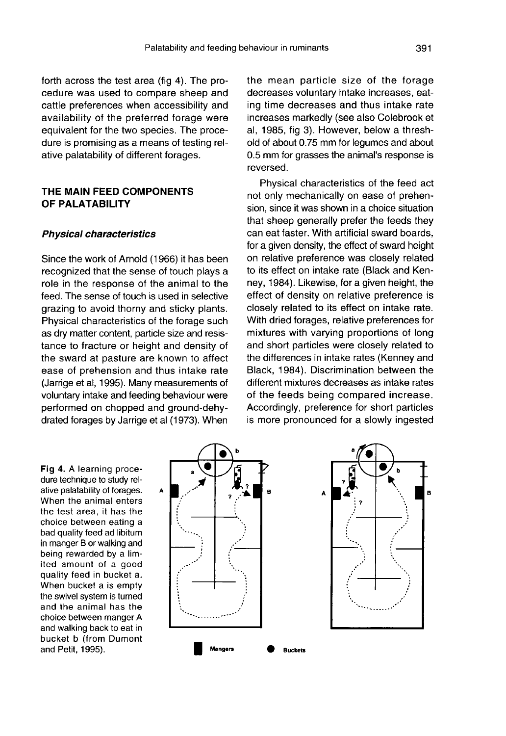forth across the test area (fig 4). The procedure was used to compare sheep and cattle preferences when accessibility and availability of the preferred forage were equivalent for the two species. The procedure is promising as a means of testing relative palatability of different forages.

## THE MAIN FEED COMPONENTS OF PALATABILITY

#### Physical characteristics

Since the work of Arnold (1966) it has been recognized that the sense of touch plays a role in the response of the animal to the feed. The sense of touch is used in selective arazing to avoid thorny and sticky plants. Physical characteristics of the forage such as dry matter content, particle size and resistance to fracture or height and density of the sward at pasture are known to affect ease of prehension and thus intake rate (Jarrige et al, 1995). Many measurements of voluntary intake and feeding behaviour were performed on chopped and ground-dehydrated forages by Jarrige et al (1973). When the mean particle size of the forage decreases voluntary intake increases, eating time decreases and thus intake rate increases markedly (see also Colebrook et al, 1985, fig 3). However, below a threshold of about 0.75 mm for legumes and about 0.5 mm for grasses the animal's response is reversed.

Physical characteristics of the feed act not only mechanically on ease of prehension, since it was shown in a choice situation that sheep generally prefer the feeds they can eat faster. With artificial sward boards, for a given density, the effect of sward height on relative preference was closely related to its effect on intake rate (Black and Kenney, 1984). Likewise, for a given height, the effect of density on relative preference is closely related to its effect on intake rate. With dried forages, relative preferences for mixtures with varying proportions of long and short particles were closely related to the differences in intake rates (Kenney and Black, 1984). Discrimination between the different mixtures decreases as intake rates of the feeds being compared increase. Accordingly, preference for short particles is more pronounced for a slowly ingested

Fig 4. A learning procedure technique to study relative palatability of forages. When the animal enters the test area, it has the choice between eating a bad quality feed ad libitum in manger B or walking and being rewarded by a limited amount of a good quality feed in bucket a. When bucket a is empty the swivel system is turned and the animal has the choice between manger A and walking back to eat in bucket b (from Dumont and Petit, 1995).

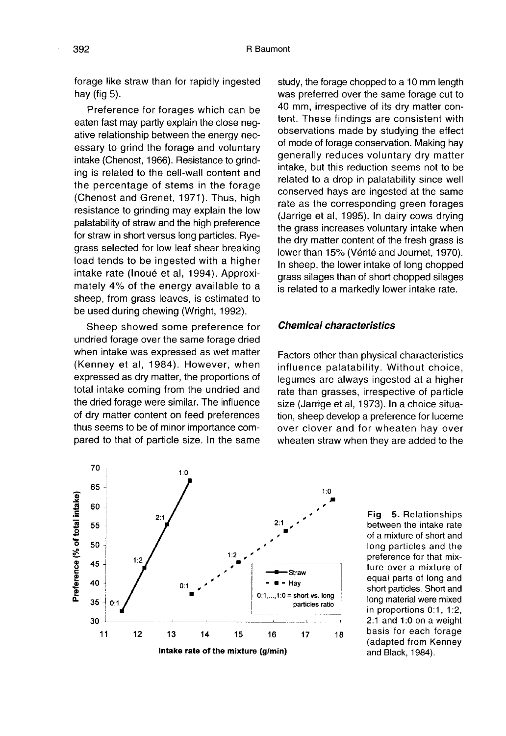forage like straw than for rapidly ingested hay (fig 5).

Preference for forages which can be eaten fast may partly explain the close negative relationship between the energy necessary to grind the forage and voluntary intake (Chenost, 1966). Resistance to grinding is related to the cell-wall content and the percentage of stems in the forage (Chenost and Grenet, 1971). Thus, high resistance to grinding may explain the low palatability of straw and the high preference for straw in short versus long particles. Ryegrass selected for low leaf shear breaking load tends to be ingested with a higher intake rate (Inoué et al, 1994). Approximately 4% of the energy available to a sheep, from grass leaves, is estimated to be used during chewing (Wright, 1992).

Sheep showed some preference for undried forage over the same forage dried when intake was expressed as wet matter (Kenney et al, 1984). However, when expressed as dry matter, the proportions of total intake coming from the undried and the dried forage were similar. The influence of dry matter content on feed preferences thus seems to be of minor importance compared to that of particle size. In the same study, the forage chopped to a 10 mm length was preferred over the same forage cut to 40 mm, irrespective of its dry matter content. These findings are consistent with observations made by studying the effect of mode of forage conservation. Making hay generally reduces voluntary dry matter intake, but this reduction seems not to be related to a drop in palatability since well conserved hays are ingested at the same rate as the corresponding green forages (Jarrige et al, 1995). In dairy cows drying the grass increases voluntary intake when the dry matter content of the fresh grass is lower than 15% (Vérité and Journet, 1970). In sheep, the lower intake of long chopped grass silages than of short chopped silages is related to a markedly lower intake rate.

#### Chemical characteristics

Factors other than physical characteristics influence palatability. Without choice, legumes are always ingested at a higher rate than grasses, irrespective of particle size (Jarrige et al, 1973). In a choice situation, sheep develop a preference for lucerne over clover and for wheaten hay over wheaten straw when they are added to the



Fig 5. Relationships between the intake rate of a mixture of short and long particles and the preference for that mixture over a mixture of equal parts of long and short particles. Short and long material were mixed in proportions 0:1, 1:2, 2.1 and 1.0 on a weight basis for each forage (adapted from Kenney and Black, 1984).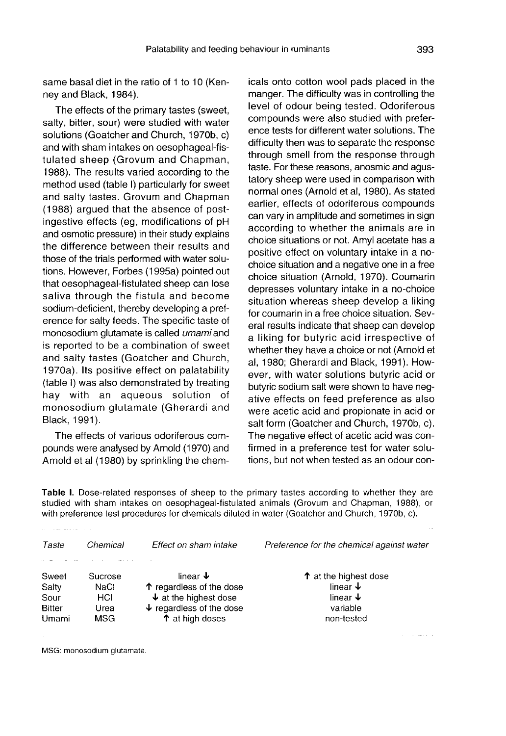same basal diet in the ratio of 1 to 10 (Kenney and Black, 1984).

The effects of the primary tastes (sweet, salty, bitter, sour) were studied with water solutions (Goatcher and Church, 1970b, c) and with sham intakes on oesophageal-fistulated sheep (Grovum and Chapman, 1988). The results varied according to the method used (table I) particularly for sweet and salty tastes. Grovum and Chapman (1988) argued that the absence of postingestive effects (eg, modifications of pH and osmotic pressure) in their study explains the difference between their results and those of the trials performed with water solutions. However, Forbes (1995a) pointed out that oesophageal-fistulated sheep can lose saliva through the fistula and become sodium-deficient, thereby developing a pref erence for salty feeds. The specific taste of monosodium glutamate is called umami and is reported to be a combination of sweet and salty tastes (Goatcher and Church, 1970a). Its positive effect on palatability (table I) was also demonstrated by treating hay with an aqueous solution of monosodium glutamate (Gherardi and Black, 1991).

The effects of various odoriferous compounds were analysed by Arnold (1970) and Arnold et al (1980) by sprinkling the chemicals onto cotton wool pads placed in the manger. The difficulty was in controlling the level of odour being tested. Odoriferous compounds were also studied with prefer ence tests for different water solutions. The difficulty then was to separate the response through smell from the response through taste. For these reasons, anosmic and agustatory sheep were used in comparison with normal ones (Arnold et al, 1980). As stated earlier, effects of odoriferous compounds can vary in amplitude and sometimes in sign according to whether the animals are in choice situations or not. Amyl acetate has a positive effect on voluntary intake in a nochoice situation and a negative one in a free choice situation (Arnold, 1970). Coumarin depresses voluntary intake in a no-choice situation whereas sheep develop a liking for coumarin in a free choice situation. Several results indicate that sheep can develop a liking for butyric acid irrespective of whether they have a choice or not (Arnold et al, 1980; Gherardi and Black, 1991). However, with water solutions butyric acid or butyric sodium salt were shown to have negative effects on feed preference as also were acetic acid and propionate in acid or salt form (Goatcher and Church, 1970b, c). The negative effect of acetic acid was confirmed in a preference test for water solutions, but not when tested as an odour con-

Table I. Dose-related responses of sheep to the primary tastes according to whether they are studied with sham intakes on oesophageal-fistulated animals (Grovum and Chapman, 1988), or with preference test procedures for chemicals diluted in water (Goatcher and Church, 1970b, c).

| Taste         | Chemical | Effect on sham intake               | Preference for the chemical against water |
|---------------|----------|-------------------------------------|-------------------------------------------|
| Sweet         | Sucrose  | linear $\bm{\downarrow}$            | ↑ at the highest dose                     |
| Salty         | NaCl     | ↑ regardless of the dose            | linear $\downarrow$                       |
| Sour          | HCI      | $\downarrow$ at the highest dose    | linear $\downarrow$                       |
| <b>Bitter</b> | Urea     | $\downarrow$ regardless of the dose | variable                                  |
| Umami         | MSG      | ↑ at high doses                     | non-tested                                |

MSG: monosodium glutamate.

والمساما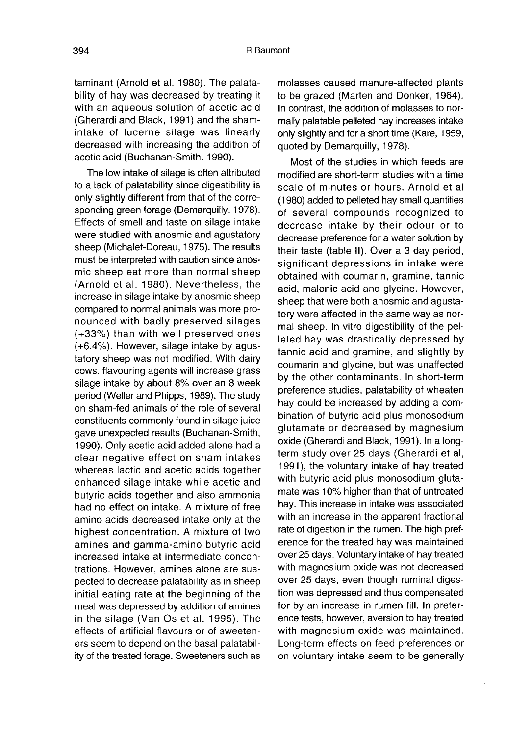taminant (Arnold et al, 1980). The palatability of hay was decreased by treating it with an aqueous solution of acetic acid (Gherardi and Black, 1991) and the shamintake of lucerne silage was linearly decreased with increasing the addition of acetic acid (Buchanan-Smith, 1990).

The low intake of silage is often attributed to a lack of palatability since digestibility is only slightly different from that of the corresponding green forage (Demarquilly, 1978). Effects of smell and taste on silage intake were studied with anosmic and agustatory sheep (Michalet-Doreau, 1975). The results must be interpreted with caution since anosmic sheep eat more than normal sheep (Arnold et al, 1980). Nevertheless, the increase in silage intake by anosmic sheep compared to normal animals was more pronounced with badly preserved silages (+33%) than with well preserved ones (+6.4%). However, silage intake by agustatory sheep was not modified. With dairy cows, flavouring agents will increase grass silage intake by about 8% over an 8 week period (Weller and Phipps, 1989). The study on sham-fed animals of the role of several constituents commonly found in silage juice gave unexpected results (Buchanan-Smith, 1990). Only acetic acid added alone had a clear negative effect on sham intakes whereas lactic and acetic acids together enhanced silage intake while acetic and butyric acids together and also ammonia had no effect on intake. A mixture of free amino acids decreased intake only at the highest concentration. A mixture of two amines and gamma-amino butyric acid increased intake at intermediate concentrations. However, amines alone are suspected to decrease palatability as in sheep initial eating rate at the beginning of the meal was depressed by addition of amines in the silage (Van Os et al, 1995). The effects of artificial flavours or of sweeteners seem to depend on the basal palatability of the treated forage. Sweeteners such as

molasses caused manure-affected plants to be grazed (Marten and Donker, 1964). In contrast, the addition of molasses to normally palatable pelleted hay increases intake only slightly and for a short time (Kare, 1959, quoted by Demarquilly, 1978).

Most of the studies in which feeds are modified are short-term studies with a time scale of minutes or hours. Arnold et al (1980) added to pelleted hay small quantities of several compounds recognized to decrease intake by their odour or to decrease preference for a water solution by their taste (table II). Over a 3 day period, significant depressions in intake were obtained with coumarin, gramine, tannic acid, malonic acid and glycine. However, sheep that were both anosmic and agustatory were affected in the same way as normal sheep. In vitro digestibility of the pelleted hay was drastically depressed by tannic acid and gramine, and slightly by coumarin and glycine, but was unaffected by the other contaminants. In short-term preference studies, palatability of wheaten hay could be increased by adding a combination of butyric acid plus monosodium glutamate or decreased by magnesium oxide (Gherardi and Black, 1991). In a long term study over 25 days (Gherardi et al, 1991), the voluntary intake of hay treated with butyric acid plus monosodium gluta mate was 10% higher than that of untreated hay. This increase in intake was associated with an increase in the apparent fractional rate of digestion in the rumen. The high pref erence for the treated hay was maintained over 25 days. Voluntary intake of hay treated with magnesium oxide was not decreased over 25 days, even though ruminal digestion was depressed and thus compensated for by an increase in rumen fill. In prefer ence tests, however, aversion to hay treated with magnesium oxide was maintained. Long-term effects on feed preferences or on voluntary intake seem to be generally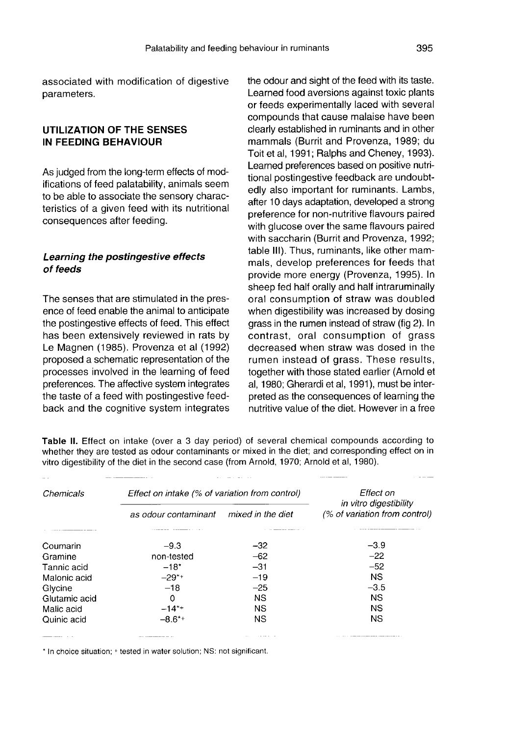395

associated with modification of digestive parameters.

## UTILIZATION OF THE SENSES IN FEEDING BEHAVIOUR

As judged from the long-term effects of modifications of feed palatability, animals seem to be able to associate the sensory characteristics of a given feed with its nutritional consequences after feeding.

## Learning the postingestive effects of feeds

The senses that are stimulated in the presence of feed enable the animal to anticipate the postingestive effects of feed. This effect has been extensively reviewed in rats by Le Magnen (1985). Provenza et al (1992) proposed a schematic representation of the processes involved in the learning of feed preferences. The affective system integrates the taste of a feed with postingestive feedback and the cognitive system integrates

the odour and sight of the feed with its taste. Learned food aversions against toxic plants or feeds experimentally laced with several compounds that cause malaise have been clearly established in ruminants and in other mammals (Burrit and Provenza, 1989; du Toit et al, 1991; Ralphs and Cheney, 1993). Learned preferences based on positive nutritional postingestive feedback are undoubtedly also important for ruminants. Lambs, after 10 days adaptation, developed a strong preference for non-nutritive flavours paired with glucose over the same flavours paired with saccharin (Burrit and Provenza, 1992; table 111). Thus, ruminants, like other mammals, develop preferences for feeds that provide more energy (Provenza, 1995). In sheep fed half orally and half intraruminally oral consumption of straw was doubled when digestibility was increased by dosing grass in the rumen instead of straw (fig 2). In contrast, oral consumption of grass decreased when straw was dosed in the rumen instead of grass. These results, together with those stated earlier (Arnold et al, 1980; Gherardi et al, 1991), must be interpreted as the consequences of learning the nutritive value of the diet. However in a free

Table II. Effect on intake (over a 3 day period) of several chemical compounds according to whether they are tested as odour contaminants or mixed in the diet; and corresponding effect on in vitro digestibility of the diet in the second case (from Arnold, 1970; Arnold et al, 1980).

| Chemicals     | Effect on intake (% of variation from control) |                               | Effect on<br>in vitro digestibility |
|---------------|------------------------------------------------|-------------------------------|-------------------------------------|
|               | as odour contaminant                           | mixed in the diet             | (% of variation from control)       |
|               |                                                | The company could be seen the |                                     |
| Coumarin      | $-9.3$                                         | $-32$                         | $-3.9$                              |
| Gramine       | non-tested                                     | $-62$                         | $-22$                               |
| Tannic acid   | $-18*$                                         | $-31$                         | $-52$                               |
| Malonic acid  | $-29^{*}$                                      | $-19$                         | <b>NS</b>                           |
| Glycine       | $-18$                                          | $-25$                         | $-3.5$                              |
| Glutamic acid | 0                                              | ΝS                            | <b>NS</b>                           |
| Malic acid    | $-14^{*}$                                      | <b>NS</b>                     | <b>NS</b>                           |
| Quinic acid   | $-8.6^{*+}$                                    | <b>NS</b>                     | <b>NS</b>                           |
|               | where the company were set that the            |                               |                                     |

\* In choice situation; + tested in water solution; NS: not significant.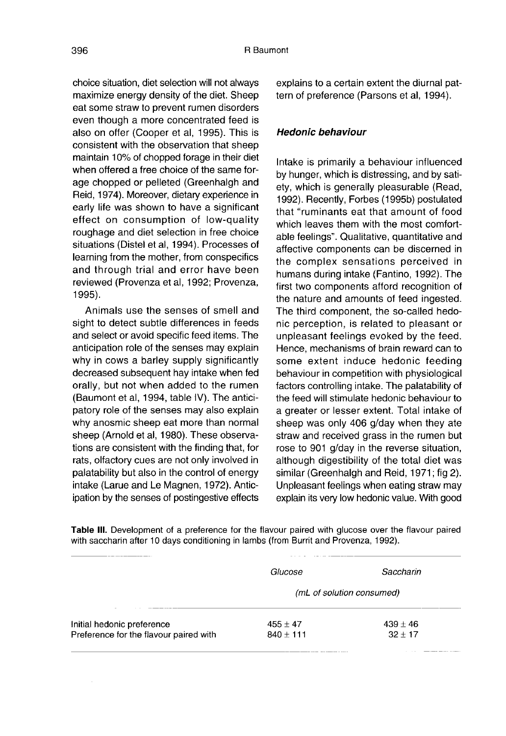choice situation, diet selection will not always maximize energy density of the diet. Sheep eat some straw to prevent rumen disorders even though a more concentrated feed is also on offer (Cooper et al, 1995). This is consistent with the observation that sheep maintain 10% of chopped forage in their diet when offered a free choice of the same forage chopped or pelleted (Greenhalgh and Reid, 1974). Moreover, dietary experience in early life was shown to have a significant effect on consumption of low-quality roughage and diet selection in free choice situations (Distel et al, 1994). Processes of learning from the mother, from conspecifics and through trial and error have been reviewed (Provenza et al, 1992; Provenza, 1995).

Animals use the senses of smell and sight to detect subtle differences in feeds and select or avoid specific feed items. The anticipation role of the senses may explain why in cows a barley supply significantly decreased subsequent hay intake when fed orally, but not when added to the rumen (Baumont et al, 1994, table IV). The anticipatory role of the senses may also explain why anosmic sheep eat more than normal sheep (Arnold et al, 1980). These observations are consistent with the finding that, for rats, olfactory cues are not only involved in palatability but also in the control of energy intake (Larue and Le Magnen, 1972). Anticipation by the senses of postingestive effects

explains to a certain extent the diurnal pat tern of preference (Parsons et al, 1994).

#### Hedonic behaviour

Intake is primarily a behaviour influenced by hunger, which is distressing, and by satiety, which is generally pleasurable (Read, 1992). Recently, Forbes (1995b) postulated that "ruminants eat that amount of food which leaves them with the most comfortable feelings". Qualitative, quantitative and affective components can be discerned in the complex sensations perceived in humans during intake (Fantino, 1992). The first two components afford recognition of the nature and amounts of feed ingested. The third component, the so-called hedonic perception, is related to pleasant or unpleasant feelings evoked by the feed. Hence, mechanisms of brain reward can to some extent induce hedonic feeding behaviour in competition with physiological factors controlling intake. The palatability of the feed will stimulate hedonic behaviour to a greater or lesser extent. Total intake of sheep was only 406 g/day when they ate straw and received grass in the rumen but rose to 901 g/day in the reverse situation, although digestibility of the total diet was similar (Greenhalgh and Reid, 1971; fig 2). Unpleasant feelings when eating straw may explain its very low hedonic value. With good

Table III. Development of a preference for the flavour paired with glucose over the flavour paired with saccharin after 10 days conditioning in lambs (from Burrit and Provenza, 1992).

|                                        | Glucose                   | Saccharin    |  |
|----------------------------------------|---------------------------|--------------|--|
|                                        | (mL of solution consumed) |              |  |
| Initial hedonic preference             | $455 \pm 47$              | $439 \pm 46$ |  |
| Preference for the flavour paired with | $840 \pm 111$             | $32 \pm 17$  |  |
|                                        |                           |              |  |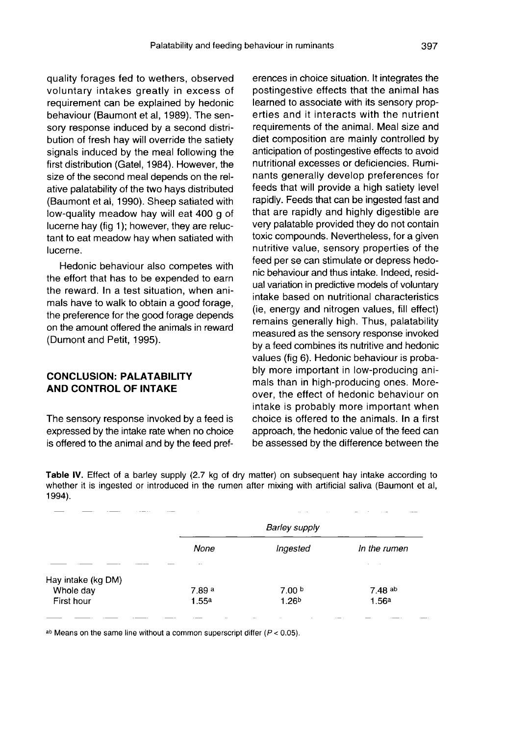quality forages fed to wethers, observed voluntary intakes greatly in excess of requirement can be explained by hedonic behaviour (Baumont et al, 1989). The sensory response induced by a second distribution of fresh hay will override the satiety signals induced by the meal following the first distribution (Gatel, 1984). However, the size of the second meal depends on the relative palatability of the two hays distributed (Baumont et al, 1990). Sheep satiated with low-quality meadow hay will eat 400 g of lucerne hay (fig 1); however, they are reluctant to eat meadow hay when satiated with lucerne.

Hedonic behaviour also competes with the effort that has to be expended to earn the reward. In a test situation, when animals have to walk to obtain a good forage, the preference for the good forage depends on the amount offered the animals in reward (Dumont and Petit, 1995).

## CONCLUSION: PALATABILITY AND CONTROL OF INTAKE

The sensory response invoked by a feed is expressed by the intake rate when no choice is offered to the animal and by the feed pref-

erences in choice situation. It integrates the postingestive effects that the animal has learned to associate with its sensory properties and it interacts with the nutrient requirements of the animal. Meal size and diet composition are mainly controlled by anticipation of postingestive effects to avoid nutritional excesses or deficiencies. Ruminants generally develop preferences for feeds that will provide a high satiety level rapidly. Feeds that can be ingested fast and that are rapidly and highly digestible are very palatable provided they do not contain toxic compounds. Nevertheless, for a given nutritive value, sensory properties of the feed per se can stimulate or depress hedonic behaviour and thus intake. Indeed, residual variation in predictive models of voluntary intake based on nutritional characteristics (ie, energy and nitrogen values, fill effect) remains generally high. Thus, palatability measured as the sensory response invoked by a feed combines its nutritive and hedonic values (fig 6). Hedonic behaviour is probably more important in low-producing animals than in high-producing ones. Moreover, the effect of hedonic behaviour on intake is probably more important when choice is offered to the animals. In a first approach, the hedonic value of the feed can be assessed by the difference between the

Table IV. Effect of a barley supply (2.7 kg of dry matter) on subsequent hay intake according to whether it is ingested or introduced in the rumen after mixing with artificial saliva (Baumont et al, 1994).

|                    |       | <b>Barley supply</b> |                 |  |  |
|--------------------|-------|----------------------|-----------------|--|--|
|                    | None  | Ingested             | In the rumen    |  |  |
|                    |       |                      | the contract of |  |  |
| Hay intake (kg DM) | 7.89a | 7.00 <sup>b</sup>    | $7.48$ ab       |  |  |
| Whole day          |       |                      | 1.56a           |  |  |

ab Means on the same line without a common superscript differ  $(P < 0.05)$ .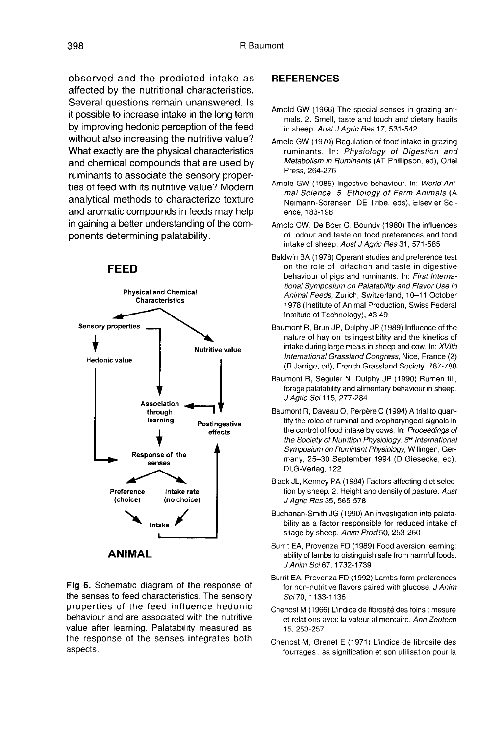observed and the predicted intake as affected by the nutritional characteristics. Several questions remain unanswered. Is it possible to increase intake in the long term by improving hedonic perception of the feed without also increasing the nutritive value? What exactly are the physical characteristics and chemical compounds that are used by ruminants to associate the sensory properties of feed with its nutritive value? Modern analytical methods to characterize texture and aromatic compounds in feeds may help in gaining a better understanding of the components determining palatability.

## **FEED Physical and Chemical** Characteristics **Sensory properties** Nutritive value **Hedonic value** Association through learning Postingestive effects Response of the senses Preference Intake rate (choice) (no choice) Intake

## **ANIMAL**

Fig 6. Schematic diagram of the response of the senses to feed characteristics. The sensory properties of the feed influence hedonic behaviour and are associated with the nutritive value after learning. Palatability measured as the response of the senses integrates both aspects.

#### **REFERENCES**

- Arnold GW (1966) The special senses in grazing animals. 2. Smell, taste and touch and dietary habits in sheep. Aust J Agric Res 17, 531-542
- Arnold GW (1970) Regulation of food intake in grazing ruminants. In: Physiology of Digestion and Metabolism in Ruminants (AT Phillipson, ed), Oriel Press, 264-276
- Arnold GW (1985) Ingestive behaviour. In: World Animal Science. 5. Ethology of Farm Animals (A Neimann-Sorensen, DE Tribe, eds), Elsevier Science, 183-198
- Arnold GW, De Boer G, Boundy (1980) The influences of odour and taste on food preferences and food intake of sheep. Aust J Agric Res 31, 571-585
- Baldwin BA (1978) Operant studies and preference test on the role of olfaction and taste in digestive behaviour of pigs and ruminants. In: First International Symposium on Palatability and Flavor Use in Animal Feeds, Zurich, Switzerland, 10-11 October 1978 (Institute of Animal Production, Swiss Federal Institute of Technology), 43-49
- Baumont R, Brun JP, Dulphy JP (1989) Influence of the nature of hay on its ingestibility and the kinetics of intake during large meals in sheep and cow. In: XVlth International Grassland Congress, Nice, France (2) (R Jarrige, ed), French Grassland Society, 787-788
- Baumont R, Seguier N, Dulphy JP (1990) Rumen fill, forage palatability and alimentary behaviour in sheep. J Agric Sci 115, 277-284
- Baumont R, Daveau O, Perpère C (1994) A trial to quantify the roles of ruminal and oropharyngeal signals in the control of food intake by cows. In: Proceedings of the Society of Nutrition Physiology. 8<sup>e</sup> International Symposium on Ruminant Physiology, Willingen, Germany, 25-30 September 1994 (D Giesecke, ed), DLG-Verlag, 122
- Black JL, Kenney PA (1984) Factors affecting diet selection by sheep. 2. Height and density of pasture. Aust J Agric Res 35, 565-578
- Buchanan-Smith JG (1990) An investigation into palatability as a factor responsible for reduced intake of silage by sheep. Anim Prod 50, 253-260
- Burrit EA, Provenza FD (1989) Food aversion learning: ability of lambs to distinguish safe from harmful foods. J Anim Sci 67, 1732-1739
- Burrit EA, Provenza FD (1992) Lambs form preferences for non-nutritive flavors paired with glucose. J Anim Sci 70, 1133-1136
- Chenost M (1966) L'indice de fibrosité des foins : mesure et relations avec la valeur alimentaire. Ann Zootech 15, 253-257
- Chenost M, Grenet E (1971) L'indice de fibrosité des fourrages : sa signification et son utilisation pour la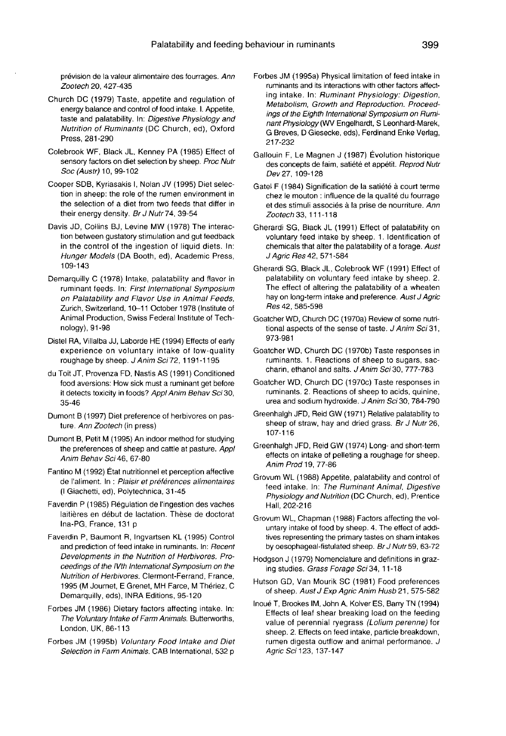prévision de la valeur alimentaire des fourrages. Ann Zootech 20, 427-435

- Church DC (1979) Taste, appetite and regulation of energy balance and control of food intake. I. Appetite, taste and palatability. In: Digestive Physiology and Nutrition of Ruminants (DC Church, ed), Oxford Press, 281-290
- Colebrook WF, Black JL, Kenney PA (1985) Effect of sensory factors on diet selection by sheep. Proc Nutr Soc (Austr) 10, 99-102
- Cooper SDB, Kyriasakis I, Nolan JV (1995) Diet selection in sheep: the role of the rumen environment in the selection of a diet from two feeds that differ in their energy density. Br J Nutr 74, 39-54
- Davis JD, Collins BJ, Levine MW (1978) The interaction between gustatory stimulation and gut feedback in the control of the ingestion of liquid diets. In: Hunger Models (DA Booth, ed), Academic Press, 109-143
- Demarquilly C (1978) Intake, palatability and flavor in ruminant feeds. In: First International Symposium on Palatability and Flavor Use in Animal Feeds, Zurich, Switzerland, 10-11 October 1978 (Institute of Animal Production, Swiss Federal Institute of Technology), 91-98
- Distel RA, Villalba JJ, Laborde HE (1994) Effects of early experience on voluntary intake of low-quality roughage by sheep. J Anim Sci 72, 1191-1195
- du Toit JT, Provenza FD, Nastis AS (1991) Conditioned food aversions: How sick must a ruminant get before it detects toxicity in foods? Appl Anim Behav Sci 30, 35-46
- Dumont B (1997) Diet preference of herbivores on pasture. Ann Zootech (in press)
- Dumont B, Petit M (1995) An indoor method for studying the preferences of sheep and cattle at pasture. Appl Anim Behav Sci 46, 67-80
- Fantino M (1992) État nutritionnel et perception affective de l'aliment. In : Plaisir et préférences alimentaires (I Giachetti, ed), Polytechnica, 31-45
- Faverdin P (1985) Regulation de l'ingestion des vaches laitières en début de lactation. Thèse de doctorat Ina-PG, France, 131 p
- Faverdin P, Baumont R, Ingvartsen KL (1995) Control and prediction of feed intake in ruminants. In: Recent Developments in the Nutrition of Herbivores. Proceedings of the IVth International Symposium on the Nutrition of Herbivores. Clermont-Ferrand, France, 1995 (M Journet, E Grenet, MH Farce, M Thériez, C Demarquilly, eds), INRA Editions, 95-120
- Forbes JM (1986) Dietary factors affecting intake. In: The Voluntary Intake of Farm Animals. Butterworths, London, UK, 86-113
- Forbes JM (1995b) Voluntary Food Intake and Diet Selection in Farm Animals. CAB International, 532 p
- Forbes JM (1995a) Physical limitation of feed intake in ruminants and its interactions with other factors affecting intake. In: Ruminant Physiology: Digestion, Metabolism, Growth and Reproduction. Proceedings of the Eighth International Symposium on Ruminant Physiology (WV Engelhardt, S Leonhard-Marek, G Breves, D Giesecke, eds), Ferdinand Enke Verlag, 217-232
- Gallouin F, Le Magnen J (1987) Evolution historique des concepts de faim, satiété et appétit. Reprod Nutr Dev27, 109-128
- Gatel F (1984) Signification de la satiété à court terme chez le mouton : influence de la qualité du fourrage et des stimuli associés à la prise de nourriture. Ann Zootech 33, 111-118
- Gherardi SG, Black JL (1991) Effect of palatability on voluntary feed intake by sheep. 1. Identification of chemicals that alter the palatability of a forage. Aust J Agric Res 42, 571-584
- Gherardi SG, Black JL, Colebrook WF (1991) Effect of palatability on voluntary feed intake by sheep. 2. The effect of altering the palatability of a wheaten hay on long-term intake and preference. Aust J Agric Res 42, 585-598
- Goatcher WD, Church DC (1970a) Review of some nutritional aspects of the sense of taste. J Anim Sci 31, 973-981
- Goatcher WD, Church DC (1970b) Taste responses in ruminants. 1. Reactions of sheep to sugars, saccharin, ethanol and salts. J Anim Sci 30, 777-783
- Goatcher WD, Church DC (1970c) Taste responses in ruminants. 2. Reactions of sheep to acids, quinine, urea and sodium hydroxide. J Anim Sci 30, 784-790
- Greenhalgh JFD, Reid GW (1971) Relative palatability to sheep of straw, hay and dried grass. Br J Nutr 26, 107-116
- Greenhalgh JFD, Reid GW (1974) Long- and short-term effects on intake of pelleting a roughage for sheep. Anim Prod 19, 77-86
- Grovum WL (1988) Appetite, palatability and control of feed intake. In: The Ruminant Animal, Digestive Physiology and Nutrition (DC Church, ed), Prentice Hall, 202-216
- Grovum WL, Chapman (1988) Factors affecting the voluntary intake of food by sheep. 4. The effect of additives representing the primary tastes on sham intakes by oesophageal-fistulated sheep. Br J Nutr 59, 63-72
- Hodgson J (1979) Nomenclature and definitions in grazing studies. Grass Forage Sci 34, 11-18
- Hutson GD, Van Mourik SC (1981) Food preferences of sheep. Aust J Exp Agric Anim Husb 21, 575-582
- Inoue T, Brookes IM, John A, Kolver ES, Barry TN (1994) Effects of leaf shear breaking load on the feeding value of perennial ryegrass (Lolium perenne) for sheep. 2. Effects on feed intake, particle breakdown, rumen digesta outflow and animal performance. J Agric Sci 123, 137-147